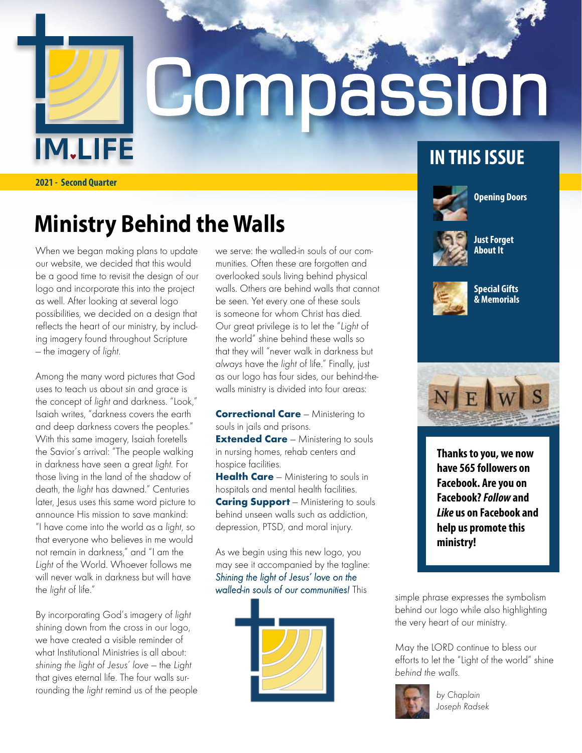**IM.LIFE** 

# Compassion

**2021 - Second Quarter**

## **Ministry Behind the Walls**

When we began making plans to update our website, we decided that this would be a good time to revisit the design of our logo and incorporate this into the project as well. After looking at several logo possibilities, we decided on a design that reflects the heart of our ministry, by including imagery found throughout Scripture — the imagery of light.

Among the many word pictures that God uses to teach us about sin and grace is the concept of light and darkness. "Look," Isaiah writes, "darkness covers the earth and deep darkness covers the peoples." With this same imagery, Isaiah foretells the Savior's arrival: "The people walking in darkness have seen a great light. For those living in the land of the shadow of death, the light has dawned." Centuries later, lesus uses this same word picture to announce His mission to save mankind: "I have come into the world as a light, so that everyone who believes in me would not remain in darkness," and "I am the Light of the World. Whoever follows me will never walk in darkness but will have the light of life."

By incorporating God's imagery of light shining down from the cross in our logo, we have created a visible reminder of what Institutional Ministries is all about: shining the light of Jesus' love — the Light that gives eternal life. The four walls surrounding the light remind us of the people we serve: the walled-in souls of our communities. Often these are forgotten and overlooked souls living behind physical walls. Others are behind walls that cannot be seen. Yet every one of these souls is someone for whom Christ has died. Our great privilege is to let the "Light of the world" shine behind these walls so that they will "never walk in darkness but always have the light of life." Finally, just as our logo has four sides, our behind-thewalls ministry is divided into four areas:

**Correctional Care - Ministering to** souls in jails and prisons.

**Extended Care** - Ministering to souls in nursing homes, rehab centers and hospice facilities.

Health Care - Ministering to souls in hospitals and mental health facilities. **Caring Support** – Ministering to souls behind unseen walls such as addiction, depression, PTSD, and moral injury.

As we begin using this new logo, you may see it accompanied by the tagline: Shining the light of Jesus' love on the walled-in souls of our communities! This<br>simple phrase expresses the symbolism



#### **IN THIS ISSUE**



**Opening Doors**



**Just Forget About It**



**Special Gifts & Memorials**



**Thanks to you, we now have 565 followers on Facebook. Are you on Facebook?** *Follow* **and**  *Like* **us on Facebook and help us promote this ministry!**

behind our logo while also highlighting the very heart of our ministry.

May the LORD continue to bless our efforts to let the "Light of the world" shine behind the walls.



by Chaplain Joseph Radsek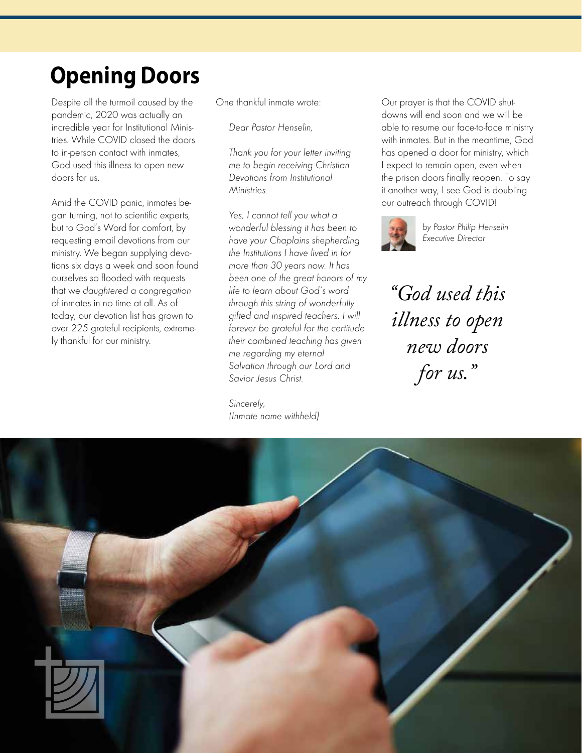## **Opening Doors**

Despite all the turmoil caused by the pandemic, 2020 was actually an incredible year for Institutional Ministries. While COVID closed the doors to in-person contact with inmates, God used this illness to open new doors for us.

Amid the COVID panic, inmates began turning, not to scientific experts, but to God's Word for comfort, by requesting email devotions from our ministry. We began supplying devotions six days a week and soon found ourselves so flooded with requests that we daughtered a congregation of inmates in no time at all. As of today, our devotion list has grown to over 225 grateful recipients, extremely thankful for our ministry.

One thankful inmate wrote:

Dear Pastor Henselin,

 Thank you for your letter inviting me to begin receiving Christian Devotions from Institutional Ministries.

 Yes, I cannot tell you what a wonderful blessing it has been to have your Chaplains shepherding the Institutions I have lived in for more than 30 years now. It has been one of the great honors of my life to learn about God's word through this string of wonderfully gifted and inspired teachers. I will forever be grateful for the certitude their combined teaching has given me regarding my eternal Salvation through our Lord and Savior Jesus Christ.

 Sincerely, (Inmate name withheld)

Our prayer is that the COVID shutdowns will end soon and we will be able to resume our face-to-face ministry with inmates. But in the meantime, God has opened a door for ministry, which I expect to remain open, even when the prison doors finally reopen. To say it another way, I see God is doubling our outreach through COVID!



by Pastor Philip Henselin Executive Director

*"God used this illness to open new doors for us."*

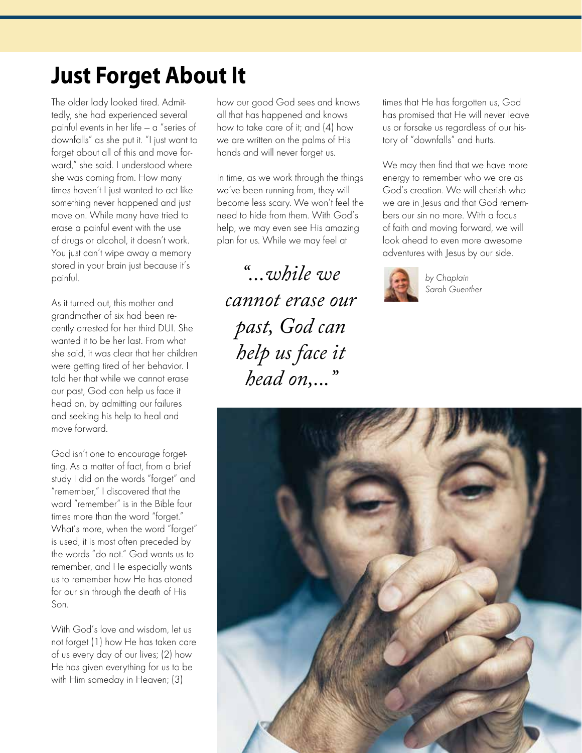#### **Just Forget About It**

The older lady looked tired. Admittedly, she had experienced several painful events in her life — a "series of downfalls" as she put it. "I just want to forget about all of this and move forward," she said. I understood where she was coming from. How many times haven't I just wanted to act like something never happened and just move on. While many have tried to erase a painful event with the use of drugs or alcohol, it doesn't work. You just can't wipe away a memory stored in your brain just because it's painful.

As it turned out, this mother and grandmother of six had been recently arrested for her third DUI. She wanted it to be her last. From what she said, it was clear that her children were getting tired of her behavior. I told her that while we cannot erase our past, God can help us face it head on, by admitting our failures and seeking his help to heal and move forward.

God isn't one to encourage forgetting. As a matter of fact, from a brief study I did on the words "forget" and "remember," I discovered that the word "remember" is in the Bible four times more than the word "forget." What's more, when the word "forget" is used, it is most often preceded by the words "do not." God wants us to remember, and He especially wants us to remember how He has atoned for our sin through the death of His Son.

With God's love and wisdom, let us not forget (1) how He has taken care of us every day of our lives; (2) how He has given everything for us to be with Him someday in Heaven; (3)

how our good God sees and knows all that has happened and knows how to take care of it; and (4) how we are written on the palms of His hands and will never forget us.

In time, as we work through the things we've been running from, they will become less scary. We won't feel the need to hide from them. With God's help, we may even see His amazing plan for us. While we may feel at

*"...while we cannot erase our past, God can help us face it head on,..."*

times that He has forgotten us, God has promised that He will never leave us or forsake us regardless of our history of "downfalls" and hurts.

We may then find that we have more energy to remember who we are as God's creation. We will cherish who we are in Jesus and that God remembers our sin no more. With a focus of faith and moving forward, we will look ahead to even more awesome adventures with Jesus by our side.